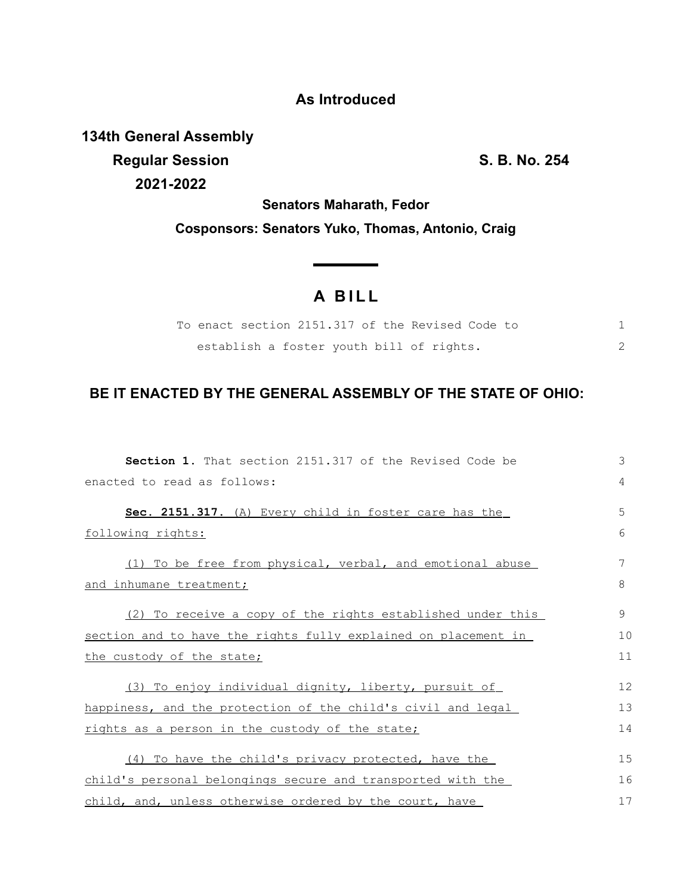## **As Introduced**

**134th General Assembly Regular Session S. B. No. 254 2021-2022**

**Senators Maharath, Fedor Cosponsors: Senators Yuko, Thomas, Antonio, Craig**

<u> The Common State State Sta</u>te

## **A B I L L**

|  |  |  | To enact section 2151.317 of the Revised Code to |  |  |
|--|--|--|--------------------------------------------------|--|--|
|  |  |  | establish a foster youth bill of rights.         |  |  |

## **BE IT ENACTED BY THE GENERAL ASSEMBLY OF THE STATE OF OHIO:**

| <b>Section 1.</b> That section 2151.317 of the Revised Code be | 3              |
|----------------------------------------------------------------|----------------|
| enacted to read as follows:                                    | $\overline{4}$ |
| Sec. 2151.317. (A) Every child in foster care has the          | 5              |
| following rights:                                              | 6              |
| (1) To be free from physical, verbal, and emotional abuse      | 7              |
| and inhumane treatment;                                        | 8              |
| (2) To receive a copy of the rights established under this     | 9              |
| section and to have the rights fully explained on placement in | 10             |
| the custody of the state;                                      | 11             |
| (3) To enjoy individual dignity, liberty, pursuit of           | 12             |
| happiness, and the protection of the child's civil and legal   | 13             |
| rights as a person in the custody of the state;                | 14             |
| (4) To have the child's privacy protected, have the            | 15             |
| child's personal belongings secure and transported with the    | 16             |
| child, and, unless otherwise ordered by the court, have        | 17             |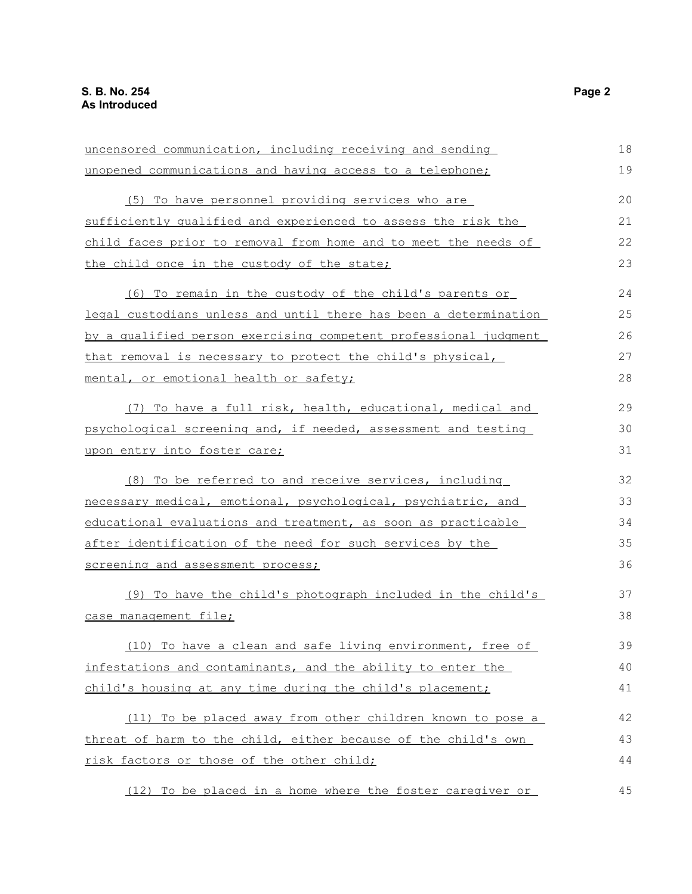| uncensored communication, including receiving and sending        | 18 |
|------------------------------------------------------------------|----|
| unopened communications and having access to a telephone;        | 19 |
| (5) To have personnel providing services who are                 | 20 |
| sufficiently qualified and experienced to assess the risk the    | 21 |
| child faces prior to removal from home and to meet the needs of  | 22 |
| the child once in the custody of the state;                      | 23 |
| (6) To remain in the custody of the child's parents or           | 24 |
| legal custodians unless and until there has been a determination | 25 |
| by a qualified person exercising competent professional judgment | 26 |
| that removal is necessary to protect the child's physical,       | 27 |
| mental, or emotional health or safety;                           | 28 |
| (7) To have a full risk, health, educational, medical and        | 29 |
| psychological screening and, if needed, assessment and testing   | 30 |
| upon entry into foster care;                                     | 31 |
| (8) To be referred to and receive services, including            | 32 |
| necessary medical, emotional, psychological, psychiatric, and    | 33 |
| educational evaluations and treatment, as soon as practicable    | 34 |
| after identification of the need for such services by the        | 35 |
| screening and assessment process;                                | 36 |
| (9) To have the child's photograph included in the child's       | 37 |
| case management file;                                            | 38 |
| (10) To have a clean and safe living environment, free of        | 39 |
| infestations and contaminants, and the ability to enter the      | 40 |
| child's housing at any time during the child's placement;        | 41 |
| (11) To be placed away from other children known to pose a       | 42 |
| threat of harm to the child, either because of the child's own   | 43 |
| risk factors or those of the other child;                        | 44 |
| (12) To be placed in a home where the foster caregiver or        | 45 |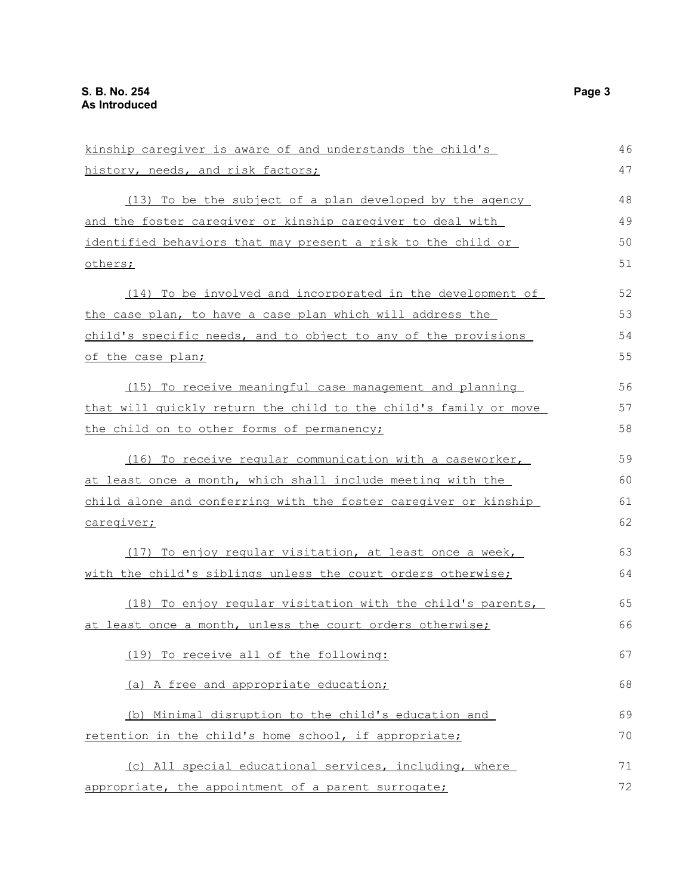| kinship caregiver is aware of and understands the child's        | 46 |
|------------------------------------------------------------------|----|
| history, needs, and risk factors;                                | 47 |
| (13) To be the subject of a plan developed by the agency         | 48 |
| and the foster caregiver or kinship caregiver to deal with       | 49 |
| identified behaviors that may present a risk to the child or     | 50 |
| others;                                                          | 51 |
| (14) To be involved and incorporated in the development of       | 52 |
| the case plan, to have a case plan which will address the        | 53 |
| child's specific needs, and to object to any of the provisions   | 54 |
| of the case plan;                                                | 55 |
| (15) To receive meaningful case management and planning          | 56 |
| that will quickly return the child to the child's family or move | 57 |
| the child on to other forms of permanency;                       | 58 |
| (16) To receive regular communication with a caseworker,         | 59 |
| at least once a month, which shall include meeting with the      | 60 |
| child alone and conferring with the foster caregiver or kinship  | 61 |
| caregiver;                                                       | 62 |
| (17) To enjoy reqular visitation, at least once a week,          | 63 |
| with the child's siblings unless the court orders otherwise;     | 64 |
| (18) To enjoy regular visitation with the child's parents,       | 65 |
| at least once a month, unless the court orders otherwise;        | 66 |
| (19) To receive all of the following:                            | 67 |
| (a) A free and appropriate education;                            | 68 |
| (b) Minimal disruption to the child's education and              | 69 |
| retention in the child's home school, if appropriate;            | 70 |
| (c) All special educational services, including, where           | 71 |
| appropriate, the appointment of a parent surrogate;              | 72 |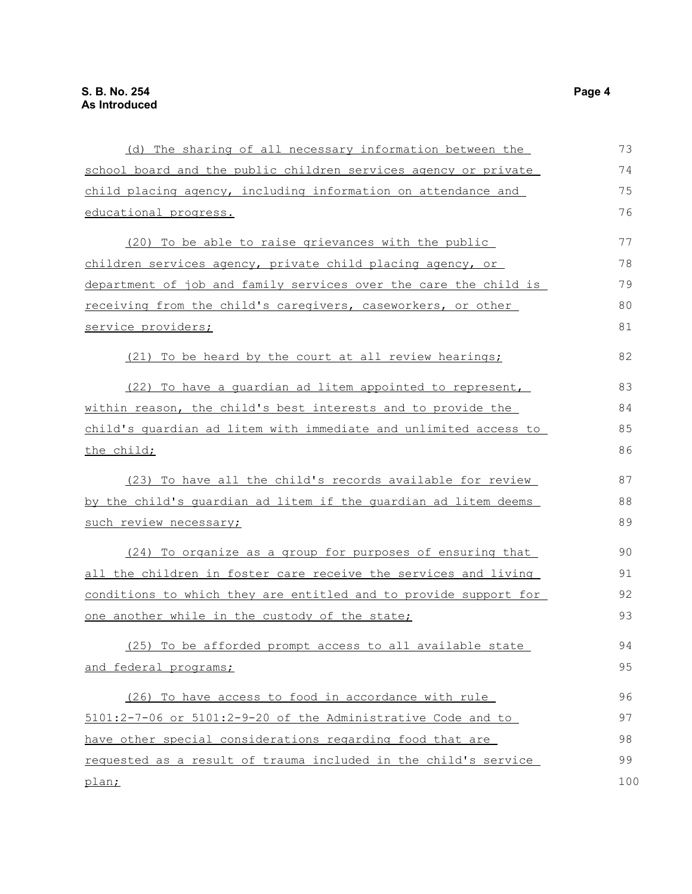| (d) The sharing of all necessary information between the         | 73  |
|------------------------------------------------------------------|-----|
| school board and the public children services agency or private  | 74  |
| child placing agency, including information on attendance and    | 75  |
| educational progress.                                            | 76  |
| (20) To be able to raise grievances with the public              | 77  |
| children services agency, private child placing agency, or       | 78  |
| department of job and family services over the care the child is | 79  |
| receiving from the child's caregivers, caseworkers, or other     | 80  |
| service providers;                                               | 81  |
| (21) To be heard by the court at all review hearings;            | 82  |
| (22) To have a quardian ad litem appointed to represent,         | 83  |
| within reason, the child's best interests and to provide the     | 84  |
| child's quardian ad litem with immediate and unlimited access to | 85  |
| the child;                                                       | 86  |
| (23) To have all the child's records available for review        | 87  |
| by the child's quardian ad litem if the quardian ad litem deems  | 88  |
| such review necessary;                                           | 89  |
| (24) To organize as a group for purposes of ensuring that        | 90  |
| all the children in foster care receive the services and living  | 91  |
| conditions to which they are entitled and to provide support for | 92  |
| one another while in the custody of the state;                   | 93  |
| (25) To be afforded prompt access to all available state         | 94  |
| and federal programs;                                            | 95  |
| (26) To have access to food in accordance with rule              | 96  |
| $5101:2-7-06$ or $5101:2-9-20$ of the Administrative Code and to | 97  |
| have other special considerations regarding food that are        | 98  |
| requested as a result of trauma included in the child's service  | 99  |
|                                                                  |     |
| plan;                                                            | 100 |